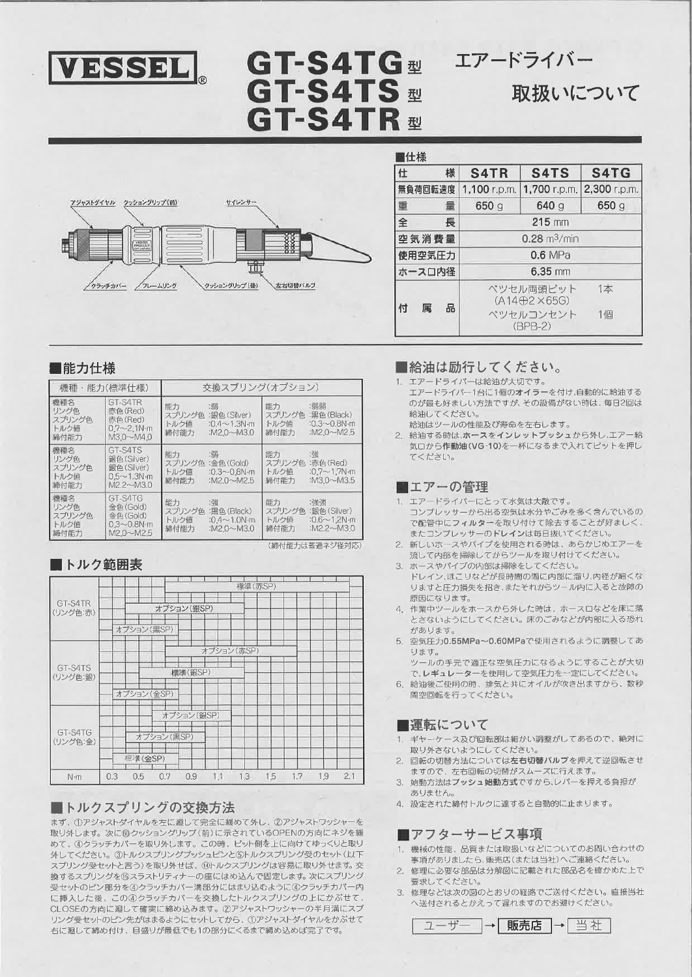

# GT-S4TG<sub>型</sub> GT-S4TS # GT-S4TR <sup>#</sup>



取扱いについて



| 仕様          |                               |                                          |              |  |  |  |  |  |  |  |
|-------------|-------------------------------|------------------------------------------|--------------|--|--|--|--|--|--|--|
| 様<br>仕      | S <sub>4</sub> TR             | S4TS                                     | S4TG         |  |  |  |  |  |  |  |
| 無負荷回転速度     | 1,100 r.p.m.                  | 1,700 r.p.m.                             | 2,300 r.p.m. |  |  |  |  |  |  |  |
| 重<br>量      | 650 g                         | 640q                                     | 650g         |  |  |  |  |  |  |  |
| 全<br>長      |                               | $215$ mm                                 |              |  |  |  |  |  |  |  |
| 空気消費量       | $0.28 \text{ m}^3/\text{min}$ |                                          |              |  |  |  |  |  |  |  |
| 使用空気圧力      | $0.6$ MPa                     |                                          |              |  |  |  |  |  |  |  |
| ホースロ内径      | $6.35$ mm                     |                                          |              |  |  |  |  |  |  |  |
|             |                               | ベツセル両頭ビット<br>$(A14 \oplus 2 \times 65G)$ | 1本           |  |  |  |  |  |  |  |
| 品<br>付<br>属 |                               | ペツセルコンセント<br>$(BPB-2)$                   | 1個           |  |  |  |  |  |  |  |
|             |                               |                                          |              |  |  |  |  |  |  |  |

## ■能力仕様

| 機種                                    | 能力(標準什様)                                                                     | 交換スプリング(オプション)                |                                                                 |                              |                                                                       |  |  |  |  |  |
|---------------------------------------|------------------------------------------------------------------------------|-------------------------------|-----------------------------------------------------------------|------------------------------|-----------------------------------------------------------------------|--|--|--|--|--|
| 機種名<br>リング色<br>スプリング色<br>トルク値<br>締付能力 | GT-S4TR<br>赤色(Red)<br>赤色(Red)<br>$0.7 - 2.1 N \cdot m$<br>$M3.0\nu M4.0$     | 能力<br>スプリング色<br>トルク値<br>締付能力  | :弱<br>$:0.4 \sim 1.3$ N-m<br>:M2.0 $\sim$ M3.0                  | 能力<br>スプリング色<br>トルク値<br>締付能力 | :弱弱<br>:黒色(Black)<br>$:0.3 \sim 0.8$ N $\cdot$ m<br>:M2.0 $\sim$ M2.5 |  |  |  |  |  |
| 機種名<br>リング色<br>スプリング色<br>トルク値<br>締付能力 | GT-S4TS<br>銀色(Silver)<br>錦色(Silver)<br>$0.5 - 1.3N \, m$<br>$M2.2 \sim M3.0$ | 能力<br>スプリング色.<br>トルク値<br>締付能力 | :弱<br>: 金色 (Gold)<br>$:0.3 \sim 0.8$ N $m$<br>:M2.0~M2.5        | 能力<br>スプリング色<br>トルク値<br>締付能力 | :強<br>:赤色(Red)<br>$:0.7 - 1.7$ N m<br>:M3.0~M3.5                      |  |  |  |  |  |
| 機種名<br>リング色<br>スプリング色<br>トルク値<br>締付能力 | GT-S4TG<br>金色(Gold)<br>金色(Gold)<br>$0.3 - 0.8$ N $\cdot$ m<br>M2.0~M2.5      | 能力<br>スプリング色<br>トルク値<br>締付能力  | :強<br>:黒色(Black)<br>$:0.4 \sim 1.0 N \, m$<br>:M2.0 $\sim$ M3.0 | 能力<br>スプリング色<br>トルク値<br>締付能力 | :強強<br>: 銀色 (Silver)<br>$:0.6 \sim 1.2 N·m$<br>:M2.2 $\sim$ M3.0      |  |  |  |  |  |

## ■トルク範囲表

|                     |     | 標準(赤SP)     |             |             |             |     |     |     |     |     |  |  |  |  |
|---------------------|-----|-------------|-------------|-------------|-------------|-----|-----|-----|-----|-----|--|--|--|--|
| GT-S4TR<br>(リング色:赤) |     |             |             | オブション (銀SP) |             |     |     |     |     |     |  |  |  |  |
|                     |     | オプション (黒SP) |             |             |             |     |     |     |     |     |  |  |  |  |
|                     |     |             |             |             | オプション (赤SP) |     |     |     |     |     |  |  |  |  |
| GT-S4TS<br>(リング色:銀) |     |             |             | 標準(銀SP)     |             |     |     |     |     |     |  |  |  |  |
|                     |     | オプション (金SP) |             |             |             |     |     |     |     |     |  |  |  |  |
|                     |     |             |             | オプション (銀SP) |             |     |     |     |     |     |  |  |  |  |
| GT-S4TG<br>(リング色:金) |     |             | オブション (黒SP) |             |             |     |     |     |     |     |  |  |  |  |
|                     |     | 標準(金SP)     |             |             |             |     |     |     |     |     |  |  |  |  |
| $N \cdot m$         | 0.3 | 0.5         | 0.7         | 0.9         | 1.1         | 1.3 | 1.5 | 1.7 | 1.9 | 2.1 |  |  |  |  |

## ■トルクスプリングの交換方法

まず、①アジャストダイヤルを左に廻して完全に緩めて外し、②アジャストワッシャーを 取り外します。次に愈クッショングリップ(前)に示されているOPENの方向にネジを緩 めて、4クラッチカバーを取り外します。この時、ピット側を上に向けてゆっくりと取り 外してください。③トルクスプリングプッシュピンと⑤トルクスプリング受のセット(以下 スプリング受セットと言う)を取り外せば、10トルクスプリングは容易に取り外せます。交 換するスプリングを⑮スラストリティナーの座にはめ込んで固定します。次にスプリング 。<br>受セットのピン部分を4クラッチカバー溝部分にはまり込むように4クラッチカバー内 に挿入した後、この4クラッチカバーを交換したトルクスプリングの上にかぶせて、 CLOSEの方向に廻して確実に締め込みます。②アジャストワッシャーの半月溝にスプ リング受セットのピン先がはまるようにセットしてから、①アジャストダイヤルをかぶせて 右に廻して締め付け、目盛りが最低でも1の部分にくるまで締め込めば完了です。

## ■給油は励行してください。

- 1. エアードライバーは給油が大切です。
- エアードライバー1台に1個のオイラーを付け、自動的に給油する のが最も好ましい方法ですが、その設備がない時は、毎日2回は 給油してください。
- 給油はツールの性能及び寿命を左右します。
- 2. 給油する時は、ホースをインレットプッシュから外し、エアー給 気口から作動油(VG-10)を一杯になるまで入れてピットを押し てください。

## ■エアーの管理

- 1. エアードライバーにとって水気は大敵です。 コンプレッサーから出る空気は水分やごみを多く含んでいるの で配管中にフィルターを取り付けて除去することが好ましく、 またコンプレッサーのドレインは毎日抜いてください。
- 2. 新しいホースやパイプを使用される時は、あらかじめエアーを 流して内部を掃除してからツールを取り付けてください。
- ホースやパイプの内部は掃除をしてください。
	- ドレイン、ほこりなどが長時間の間に内部に溜り、内径が細くな りますと圧力損失を招き、またそれからツール内に入ると故障の 原因になります。
	- 4. 作業中ツールをホースから外した時は、ホースロなどを床に落 とさないようにしてください。床のごみなどが内部に入る恐れ があります.
	- 5. 空気圧力0.55MPa~0.60MPaで使用されるように調整してあ ります。
		- ツールの手元で適正な空気圧力になるようにすることが大切 で、レギュレーターを使用して空気圧力を一定にしてください。
	- 6. 給油後ご使用の時、排気と共にオイルが吹き出ますから、数秒 間空回転を行ってください。

## ■運転について

- 1. ギヤーケース及び回転部は細かい調整がしてあるので、絶対に 取り外さないようにしてください。
- 2. 回転の切替方法については左右切替バルブを押えて逆回転させ ますので、左右回転の切替がスムーズに行えます。
- 始動方法はブッシュ始動方式ですから、レバーを押える負担が  $\mathcal{B}$ ありません。
- 4. 設定された締付トルクに達すると自動的に止まります。

## ■アフターサービス事項

- 1. 機械の性能、品質または取扱いなどについてのお問い合わせの 事項がありましたら、販売店(または当社)へご連絡ください。
- 修理に必要な部品は分解図に記載された部品名を確かめた上で 要求してください。
- 修理などは次の図のとおりの経路でご送付ください。直接当社 へ送付されるとかえって遅れますのでお避けください。

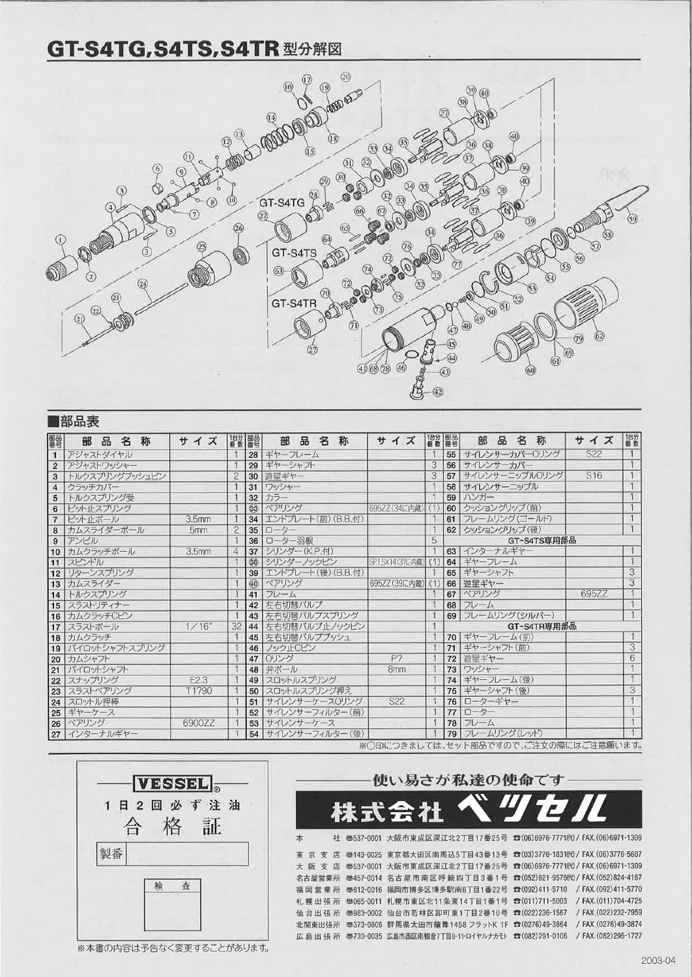## GT-S4TG, S4TS, S4TR 型分解図



|                | ■部品表           |   |   |   |  |                   |     |                |                 |              |   |   |                    |                |                 |          |    |                                      |             |                 |                |
|----------------|----------------|---|---|---|--|-------------------|-----|----------------|-----------------|--------------|---|---|--------------------|----------------|-----------------|----------|----|--------------------------------------|-------------|-----------------|----------------|
| 醫學             | 部              | 品 | 名 | 称 |  |                   | サイズ |                | 1台分 醒暑          | 部            | 品 | 名 | 称                  | サイズ            |                 | 1台分   野品 |    | 名<br>部<br>品                          | 称           | サイズ             | 1台分            |
| $\mathbf{1}$   | アジャストダイヤル      |   |   |   |  |                   |     |                | 28 <sup>1</sup> | ギヤーフレーム      |   |   |                    |                |                 |          |    | 55 サイレンサーカバーOリング                     |             | S22             | $\overline{1}$ |
| $\overline{2}$ | アジャストワッシャー     |   |   |   |  |                   |     |                | 29              | ギヤーシャフト      |   |   |                    |                |                 | 3        |    | 56 サイレンサーカバー                         |             |                 |                |
| 3              | トルクスプリングプッシュピン |   |   |   |  |                   |     | $\overline{c}$ | 30              | 遊星ギヤー        |   |   |                    |                |                 | 3        | 57 | サイレンサーニップルOリング                       |             | S <sub>16</sub> |                |
| $\overline{4}$ | クラッチカバー        |   |   |   |  |                   |     |                | 31              | ワッシャー        |   |   |                    |                |                 |          |    | 58 サイレンサーニップル                        |             |                 |                |
| 5              | トルクスプリング受      |   |   |   |  |                   |     |                | 32              | カラー          |   |   |                    |                |                 |          |    | 59 ハンガー                              |             |                 |                |
| 6              | ビット止スプリング      |   |   |   |  |                   |     |                | $33^{\circ}$    | ペアリング        |   |   |                    |                | 695ZZ(34に内蔵)    |          |    | 60 クッショングリップ(前)                      |             |                 |                |
| $\overline{7}$ | ビット止ボール        |   |   |   |  | 3.5 <sub>mm</sub> |     |                | 34              |              |   |   | エンドプレート(前) (B.B.付) |                |                 |          |    | 61 フレームリング(ゴールド)                     |             |                 |                |
| 8              | カムスライダーボール     |   |   |   |  | 5mm               |     | $\overline{c}$ | 35              | ローター         |   |   |                    |                |                 |          |    | 62 クッショングリップ (後)                     |             |                 |                |
| 9              | アンビル           |   |   |   |  |                   |     |                | 36              | ローター羽根       |   |   |                    |                |                 | 5        |    |                                      | GT-S4TS専用部品 |                 |                |
| 10             | カムクラッチボール      |   |   |   |  | 3.5 <sub>mm</sub> |     | 4              | 37              | シリンダー(K.P.付) |   |   |                    |                |                 |          |    | 63 インターナルギヤー                         |             |                 |                |
| 11             | スピンドル          |   |   |   |  |                   |     |                | 38              | シリンターノックピン   |   |   |                    |                | SP1.5×14(37に内蔵) |          |    | 64 ギヤーフレーム                           |             |                 |                |
|                | 12 リターンスプリング   |   |   |   |  |                   |     |                | 39 <sup>1</sup> |              |   |   | エンドプレート(後) (B.B.付) |                |                 |          |    | 65 ギヤーシャフト                           |             |                 | $\overline{3}$ |
| 13             | カムスライダー        |   |   |   |  |                   |     |                | GO.             | ペアリング        |   |   |                    |                | 695ZZ (39に内蔵)   | (1)      |    | 66 遊星ギヤー                             |             |                 | $\overline{3}$ |
| 14             | トルクスプリング       |   |   |   |  |                   |     |                | 41              | フレーム         |   |   |                    |                |                 |          |    | 67 ペアリング                             |             | 695ZZ           |                |
| 15             | スラストリティナー      |   |   |   |  |                   |     |                | 42              | 左右切替バルプ      |   |   |                    |                |                 |          |    | 68 フレーム                              |             |                 |                |
| 16             | カムクラッチCピン      |   |   |   |  |                   |     |                | 43              |              |   |   | 左右切替バルブスプリング       |                |                 |          |    | 69 フレームリング(シルバー)                     |             |                 | $\overline{1}$ |
| 17             | スラストボール        |   |   |   |  | 1/16"             |     | 32             | 44              |              |   |   | 左右切替パルブ止ノックピン      |                |                 |          |    |                                      | GT-S4TR専用部品 |                 |                |
| 18             | カムクラッチ         |   |   |   |  |                   |     |                | 45              | 左右切替パルププッシュ  |   |   |                    |                |                 |          |    | 70 ギヤーフレーム(前)                        |             |                 | $\mathbf{1}$   |
| 19             | パイロットシャフトスプリング |   |   |   |  |                   |     |                | 46              | ノック止Cピン      |   |   |                    |                |                 |          |    | 71 ギヤーシャフト(前)                        |             |                 | 3              |
| 20             | カムシャフト         |   |   |   |  |                   |     |                | 47              | 0リング         |   |   |                    | P <sub>7</sub> |                 |          |    | 72 游星ギヤー                             |             |                 | 6              |
| 21             | パイロットシャフト      |   |   |   |  |                   |     |                | 48              | 弁ポール         |   |   |                    | 8mm            |                 |          |    | 73 フッシャー                             |             |                 |                |
| 22             | スナップリング        |   |   |   |  | E2.3              |     |                | 49              | スロットルスプリング   |   |   |                    |                |                 |          |    | 74 ギヤーフレーム(後)                        |             |                 |                |
| 23             | スラストペアリング      |   |   |   |  | T1790             |     |                | 50              | スロットルスプリング押え |   |   |                    |                |                 |          |    | 75 ギヤーシャフト(後)                        |             |                 | 3              |
| 24             | スロットル押棒        |   |   |   |  |                   |     |                | 51              |              |   |   | サイレンサーケースOリング      | S22            |                 |          |    | 76 ローターギヤー                           |             |                 |                |
|                | 25 ギヤーケース      |   |   |   |  |                   |     |                | 52              |              |   |   | サイレンサーフィルター(前)     |                |                 |          | 77 | ローター                                 |             |                 |                |
|                | 26 ペアリング       |   |   |   |  | 6900ZZ            |     |                | 53              | サイレンサーケース    |   |   |                    |                |                 |          |    | 78 フレーム                              |             |                 |                |
| 27             | インターナルギヤー      |   |   |   |  |                   |     |                | 54              |              |   |   | サイレンサーフィルター(後)     |                |                 |          |    | 79 フレームリング(レッド)                      |             |                 |                |
|                |                |   |   |   |  |                   |     |                |                 |              |   |   |                    |                |                 |          |    | ※〇印につきましては、セット部品ですので、ご注文の際にはご注意願います。 |             |                 |                |



※本書の内容は予告なく変更することがあります。

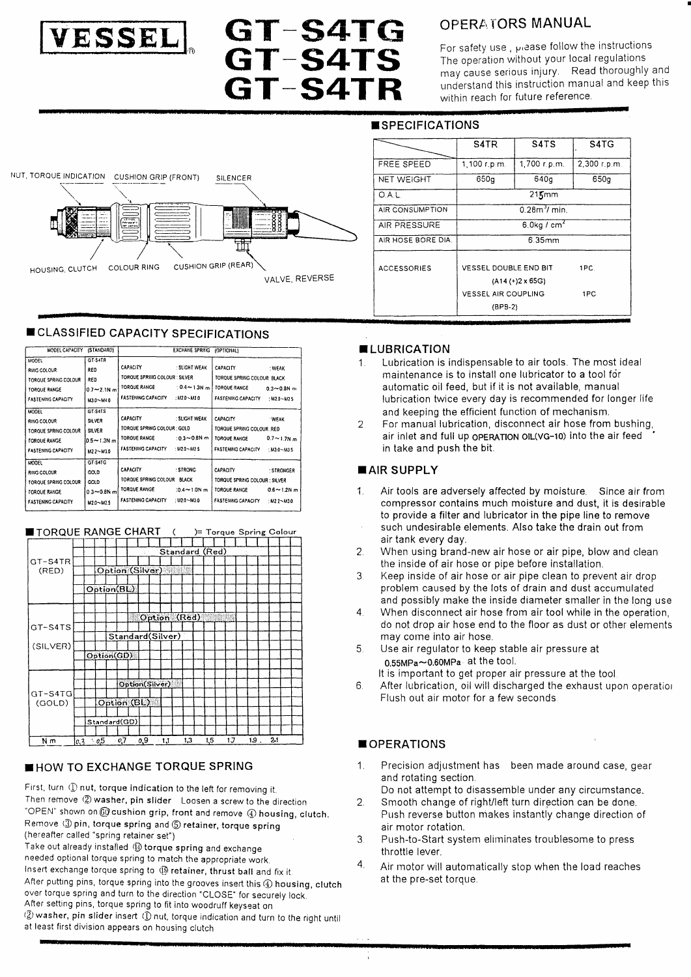

NUT, TORQUE INDICATION CUSHION GRIP (FRONT)

HOUSING, CLUTCH COLOUR RING

# **GT-S4TG<br>GT-S4TS GT-S4TR**

## **OPERATORS MANUAL**

For safety use, piease follow the instructions The operation without your local regulations may cause serious injury. Read thoroughly and understand this instruction manual and keep this within reach for future reference.

 $\overline{\mathsf{S4TG}}$ 

 $2,300$  r.p.m.

 $650q$ 

 $1PC$ 

1PC

## **SPECIFICATIONS**

|                               |                    | S4TR                  | S <sub>4</sub> T <sub>S</sub>                        |  |  |  |
|-------------------------------|--------------------|-----------------------|------------------------------------------------------|--|--|--|
|                               | FREE SPEED         | 1,100 r.p.m.          | 1.700 r.p.m.                                         |  |  |  |
| <b>SILENCER</b>               | <b>NET WEIGHT</b>  | 650a                  | 640 <sub>a</sub>                                     |  |  |  |
|                               | O.A.L.             |                       | $215$ mm                                             |  |  |  |
|                               | AIR CONSUMPTION    | $0.283$ min           |                                                      |  |  |  |
|                               | AIR PRESSURE       |                       | $6.0$ kg / cm <sup>2</sup>                           |  |  |  |
|                               | AIR HOSE BORE DIA. |                       | 6.35mm                                               |  |  |  |
| GRIP (REAR)<br>VALVE, REVERSE | <b>ACCESSORIES</b> | VESSEL DOUBLE END BIT |                                                      |  |  |  |
|                               |                    |                       | $(A14 (+)2 \times 65)$<br><b>VESSEL AIR COUPLING</b> |  |  |  |
|                               |                    | (PP9.2)               |                                                      |  |  |  |

## **CLASSIFIED CAPACITY SPECIFICATIONS**

CUSHION

| MODEL CAPACITY                                                                                                 | (STANDARD)                                                     |                                                                                               | <b>EXCHANE SPRING</b>                                    | (OPTIONAL)                                                                                 |                                                    |
|----------------------------------------------------------------------------------------------------------------|----------------------------------------------------------------|-----------------------------------------------------------------------------------------------|----------------------------------------------------------|--------------------------------------------------------------------------------------------|----------------------------------------------------|
| <b>MODEL</b><br>RING COLOUR<br>TORQUE SPRING COLOUR<br><b>TORQUE RANGE</b><br>FASTENING CAPACITY               | GT-S4TR<br><b>RED</b><br>RED<br>$0.7 - 2.1N$ m<br>M3.0~M4.0    | <b>CAPACITY</b><br>TORQUE SPRING COLOUR : SILVER<br>TORQUE RANGE<br><b>FASTENING CAPACITY</b> | : SLIGHT WEAK<br>$: 0.4 \sim 1.3 N m$<br>: $M2.0 - M3.0$ | CAPACITY<br>TORQUE SPRING COLOUR BLACK<br><b>TOROUE RANGE</b><br><b>FASTENING CAPACITY</b> | : WEAK<br>$0.3 - 0.8$ N m<br>: $M2.0 - M2.5$       |
| <b>MODEL</b><br>RING COLOUR<br>TORQUE SPRING COLOUR<br><b>TOROUE RANGE</b><br><b>FASTENING CAPACITY</b>        | GT-S4TS<br><b>SILVER</b><br>SILVER<br>l0.5∼1.3N m<br>M2.2~M3.0 | CAPACITY<br>TORQUE SPRING COLOUR : GOLD<br><b>TOROUE RANGE</b><br><b>FASTENING CAPACITY</b>   | : SLIGHT WEAK<br>$:0.3 - 0.8N$ m<br>$:112.0 - 142.5$     | <b>CAPACITY</b><br>TORQUE SPRING COLOUR RED<br>TORQUE RANGE<br><b>FASTENING CAPACITY</b>   | <b>WEAK</b><br>$0.7 \sim 1.7$ N m<br>: $M30 - M35$ |
| <b>MODEL</b><br>RING COLOUR<br><b>TORQUE SPRING COLOUR</b><br><b>TORQUE RANGE</b><br><b>FASTENING CAPACITY</b> | GT-S4TC<br>GOLD<br>GOLD<br>$0.3 - 0.8N$ m<br>$M2.0 - M2.5$     | CAPACITY<br>TORQUE SPRING COLOUR BLACK<br>TORQUE RANGE<br><b>FASTENING CAPACITY</b>           | : STRONG<br>$:0.4 \sim 1.0 N m$<br>$: 112.0 - M3.0$      | CAPACITY<br>TORQUE SPRING COLOUR : SILVER<br>TORQUE RANGE<br><b>FASTENING CAPACITY</b>     | : STRONGER<br>$0.6 - 1.2N$ m<br>$1.122 - 1130$     |

| TORQUE RANGE CHART ( |     |              |                 |     |                |                  |     |     |     |     | )= Torque Spring Colour |  |
|----------------------|-----|--------------|-----------------|-----|----------------|------------------|-----|-----|-----|-----|-------------------------|--|
|                      |     |              |                 |     |                |                  |     |     |     |     |                         |  |
|                      |     |              |                 |     |                | Standard (Red)   |     |     |     |     |                         |  |
| GT-S4TR              |     |              |                 |     |                |                  |     |     |     |     |                         |  |
| (RED)                |     |              | Option (Silver) |     |                |                  |     |     |     |     |                         |  |
|                      |     |              |                 |     |                |                  |     |     |     |     |                         |  |
|                      |     | Option(BL)   |                 |     |                |                  |     |     |     |     |                         |  |
|                      |     |              |                 |     |                |                  |     |     |     |     |                         |  |
|                      |     |              |                 |     |                | Option (Red)     |     |     |     |     |                         |  |
| GT-S4TS              |     |              |                 |     |                |                  |     |     |     |     |                         |  |
|                      |     |              |                 |     |                | Standard(Silver) |     |     |     |     |                         |  |
| (SILVER)             |     |              |                 |     |                |                  |     |     |     |     |                         |  |
|                      |     | Option(GD)   |                 |     |                |                  |     |     |     |     |                         |  |
|                      |     |              |                 |     |                |                  |     |     |     |     |                         |  |
|                      |     |              |                 |     |                |                  |     |     |     |     |                         |  |
|                      |     |              |                 |     | Option(Silver) |                  |     |     |     |     |                         |  |
| GT-S4TG              |     |              |                 |     |                |                  |     |     |     |     |                         |  |
| (GOLD)               |     |              | Option (BL)     |     |                |                  |     |     |     |     |                         |  |
|                      |     |              |                 |     |                |                  |     |     |     |     |                         |  |
|                      |     | Standard(GD) |                 |     |                |                  |     |     |     |     |                         |  |
|                      |     |              |                 |     |                |                  |     |     |     |     |                         |  |
| Νm                   | 0.3 | $\cdot$ 0.5  | - 0,7           | 0,9 |                | 1,1              | 1,3 | 1,5 | 1.7 | 19. | 24                      |  |

## HOW TO EXCHANGE TORQUE SPRING

First, turn (D nut, torque indication to the left for removing it. Then remove (2) washer, pin slider Loosen a screw to the direction "OPEN" shown on @ cushion grip, front and remove 4 housing, clutch. Remove (3) pin, torque spring and 5 retainer, torque spring (hereafter called "spring retainer set")

Take out already installed (1) torque spring and exchange needed optional torque spring to match the appropriate work. Insert exchange torque spring to (5) retainer, thrust ball and fix it. After putting pins, torque spring into the grooves insert this 4 housing, clutch over torque spring and turn to the direction "CLOSE" for securely lock. After setting pins, torque spring to fit into woodruff keyseat on (2) washer, pin slider insert (1) nut, torque indication and turn to the right until at least first division appears on housing clutch

### **ELUBRICATION**

- Lubrication is indispensable to air tools. The most ideal  $\mathbf 1$ maintenance is to install one lubricator to a tool for automatic oil feed, but if it is not available, manual lubrication twice every day is recommended for longer life and keeping the efficient function of mechanism.
- For manual lubrication, disconnect air hose from bushing,  $\overline{2}$ air inlet and full up OPERATION OIL(VG-10) into the air feed in take and push the bit.

### **■ AIR SUPPLY**

- $\mathbf{1}$ . Air tools are adversely affected by moisture. Since air from compressor contains much moisture and dust, it is desirable to provide a filter and lubricator in the pipe line to remove such undesirable elements. Also take the drain out from air tank every day.
- When using brand-new air hose or air pipe, blow and clean  $\overline{2}$ the inside of air hose or pipe before installation.
- $\mathcal{E}$ Keep inside of air hose or air pipe clean to prevent air drop problem caused by the lots of drain and dust accumulated and possibly make the inside diameter smaller in the long use
- $\overline{4}$ When disconnect air hose from air tool while in the operation, do not drop air hose end to the floor as dust or other elements may come into air hose.
- $5.$ Use air requlator to keep stable air pressure at  $0.55MPa \sim 0.60MPa$  at the tool.
- It is important to get proper air pressure at the tool
- After lubrication, oil will discharged the exhaust upon operation  $\sqrt{2}$ Flush out air motor for a few seconds

## **OPERATIONS**

- Precision adjustment has been made around case, gear  $\mathbf{1}$ and rotating section.
- Do not attempt to disassemble under any circumstance. Smooth change of right/left turn direction can be done.  $2.$
- Push reverse button makes instantly change direction of air motor rotation.
- 3. Push-to-Start system eliminates troublesome to press throttle lever.
- $\overline{4}$ Air motor will automatically stop when the load reaches at the pre-set torque.